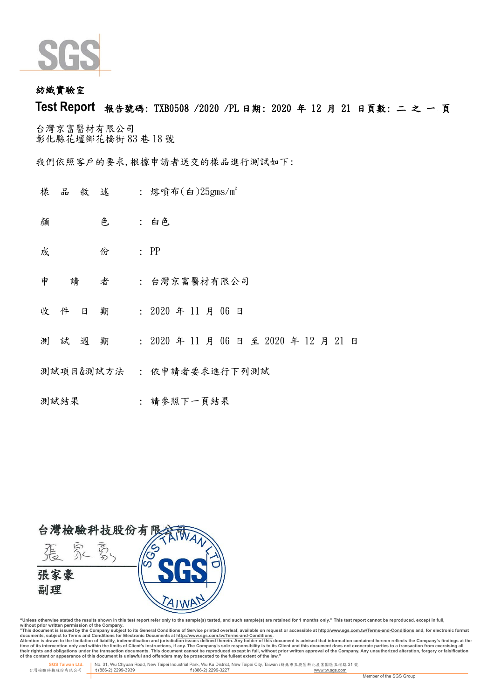

## 紡織實驗 室

# **Test Report** 報告號碼: TXB0508 /2020 /PL 日期: 2020 年 12 月 21 日頁 數: 二 之 一 頁

台灣京富醫材有限公司 彰化縣花壇鄉 花橋街 83 巷 18 號

我們依照客戶的要求,根據申請者送交的樣品進行測試如下:

- 樣 品 敘 述 : 熔噴布(白)25gms/m2
- 顏 色 白色
- **成 份 : PP**
- 申 請 者 : 台灣京富醫材有限公司
- 收件 日 期 : 2020 年 11 月 06 日
- 測 試 週 期 : 2020 年 11 月 06 日 至 2020 年 12 月 21 日
- 測試項目&測試方法 : 依申請者要求進行下列測試
- 測試結果 : 請參照下一頁結果



"Unless otherwise stated the results shown in this test report refer only to the sample(s) tested, and such sample(s) are retained for 1 months only." This test report cannot be reproduced, except in full,<br>without prior wr

documents, subject to Terms and Conditions for Electronic Documents at <u>http://www.sqs.com.tw/Terms-and-Conditions</u><br>Attention is drawn to the limitation of liability, indemnification and jurisdiction issues defined threin.

 **SGS Taiwan Ltd.** No. 31, Wu Chyuan Road, New Taipei Industrial Park, Wu Ku District, New Taipei City, Taiwan /新北市五股區新北產業園區五權路 31 號 台灣檢驗科技股份有限公司 **t** (886-2) 2299-3939 **f** (886-2) 2299-3227 www.tw.sgs.com